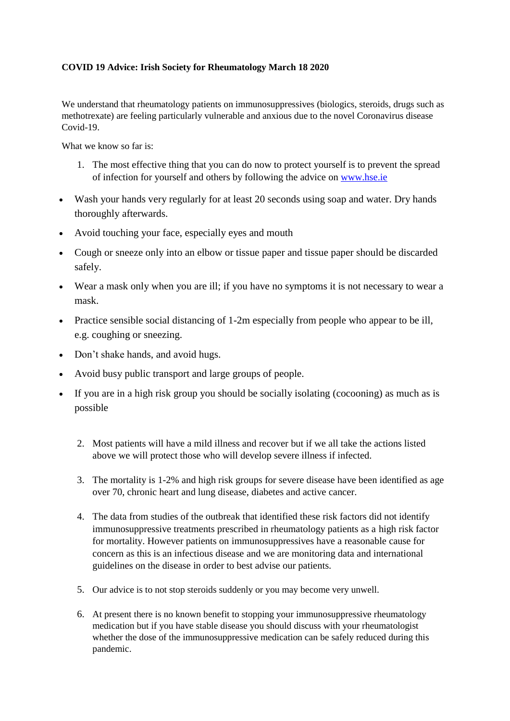## **COVID 19 Advice: Irish Society for Rheumatology March 18 2020**

We understand that rheumatology patients on immunosuppressives (biologics, steroids, drugs such as methotrexate) are feeling particularly vulnerable and anxious due to the novel Coronavirus disease Covid-19.

What we know so far is:

- 1. The most effective thing that you can do now to protect yourself is to prevent the spread of infection for yourself and others by following the advice o[n www.hse.ie](http://www.hse.ie/)
- Wash your hands very regularly for at least 20 seconds using soap and water. Dry hands thoroughly afterwards.
- Avoid touching your face, especially eyes and mouth
- Cough or sneeze only into an elbow or tissue paper and tissue paper should be discarded safely.
- Wear a mask only when you are ill; if you have no symptoms it is not necessary to wear a mask.
- Practice sensible social distancing of 1-2m especially from people who appear to be ill, e.g. coughing or sneezing.
- Don't shake hands, and avoid hugs.
- Avoid busy public transport and large groups of people.
- If you are in a high risk group you should be socially isolating (cocooning) as much as is possible
	- 2. Most patients will have a mild illness and recover but if we all take the actions listed above we will protect those who will develop severe illness if infected.
	- 3. The mortality is 1-2% and high risk groups for severe disease have been identified as age over 70, chronic heart and lung disease, diabetes and active cancer.
	- 4. The data from studies of the outbreak that identified these risk factors did not identify immunosuppressive treatments prescribed in rheumatology patients as a high risk factor for mortality. However patients on immunosuppressives have a reasonable cause for concern as this is an infectious disease and we are monitoring data and international guidelines on the disease in order to best advise our patients.
	- 5. Our advice is to not stop steroids suddenly or you may become very unwell.
	- 6. At present there is no known benefit to stopping your immunosuppressive rheumatology medication but if you have stable disease you should discuss with your rheumatologist whether the dose of the immunosuppressive medication can be safely reduced during this pandemic.